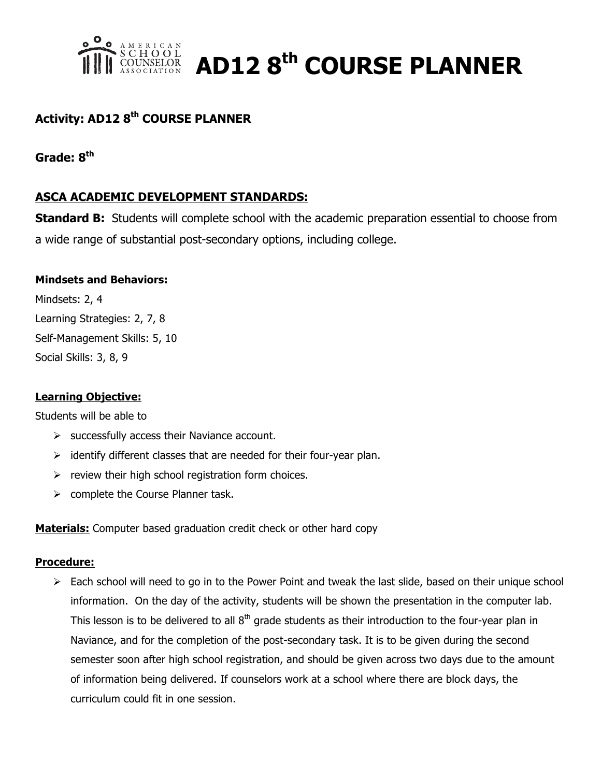

**AMERICAN**<br>COUNSELOR **AD12 8<sup>th</sup> COURSE PLANNER** 

# **Activity: AD12 8th COURSE PLANNER**

### **Grade: 8th**

## **ASCA ACADEMIC DEVELOPMENT STANDARDS:**

**Standard B:** Students will complete school with the academic preparation essential to choose from a wide range of substantial post-secondary options, including college.

#### **Mindsets and Behaviors:**

Mindsets: 2, 4 Learning Strategies: 2, 7, 8 Self-Management Skills: 5, 10 Social Skills: 3, 8, 9

#### **Learning Objective:**

Students will be able to

- $\triangleright$  successfully access their Naviance account.
- $\triangleright$  identify different classes that are needed for their four-year plan.
- $\triangleright$  review their high school registration form choices.
- $\triangleright$  complete the Course Planner task.

**Materials:** Computer based graduation credit check or other hard copy

#### **Procedure:**

 $\triangleright$  Each school will need to go in to the Power Point and tweak the last slide, based on their unique school information. On the day of the activity, students will be shown the presentation in the computer lab. This lesson is to be delivered to all  $8<sup>th</sup>$  grade students as their introduction to the four-year plan in Naviance, and for the completion of the post-secondary task. It is to be given during the second semester soon after high school registration, and should be given across two days due to the amount of information being delivered. If counselors work at a school where there are block days, the curriculum could fit in one session.